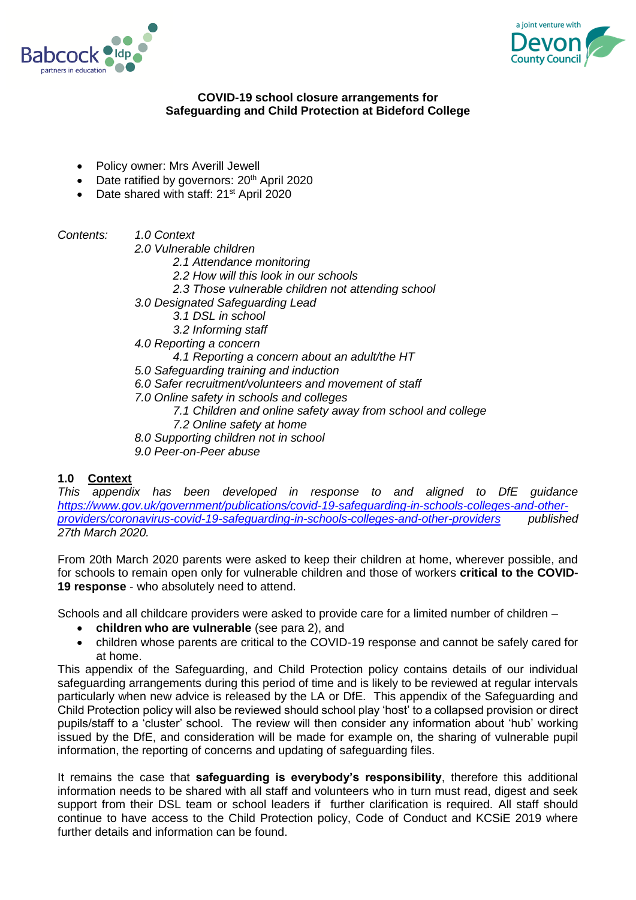



### **COVID-19 school closure arrangements for Safeguarding and Child Protection at Bideford College**

- Policy owner: Mrs Averill Jewell
- $\bullet$  Date ratified by governors:  $20<sup>th</sup>$  April 2020
- Date shared with staff: 21<sup>st</sup> April 2020

*Contents: 1.0 Context*

*2.0 Vulnerable children*

- *2.1 Attendance monitoring*
- *2.2 How will this look in our schools*
- *2.3 Those vulnerable children not attending school*
- *3.0 Designated Safeguarding Lead*
	- *3.1 DSL in school*
	- *3.2 Informing staff*
- *4.0 Reporting a concern*
	- *4.1 Reporting a concern about an adult/the HT*
- *5.0 Safeguarding training and induction*
- *6.0 Safer recruitment/volunteers and movement of staff*
- *7.0 Online safety in schools and colleges*
	- *7.1 Children and online safety away from school and college*
	- *7.2 Online safety at home*
- *8.0 Supporting children not in school*
- *9.0 Peer-on-Peer abuse*

### **1.0 Context**

*This appendix has been developed in response to and aligned to DfE guidance [https://www.gov.uk/government/publications/covid-19-safeguarding-in-schools-colleges-and-other](https://www.gov.uk/government/publications/covid-19-safeguarding-in-schools-colleges-and-other-providers/coronavirus-covid-19-safeguarding-in-schools-colleges-and-other-providers)[providers/coronavirus-covid-19-safeguarding-in-schools-colleges-and-other-providers](https://www.gov.uk/government/publications/covid-19-safeguarding-in-schools-colleges-and-other-providers/coronavirus-covid-19-safeguarding-in-schools-colleges-and-other-providers) published 27th March 2020.*

From 20th March 2020 parents were asked to keep their children at home, wherever possible, and for schools to remain open only for vulnerable children and those of workers **critical to the COVID-19 response** - who absolutely need to attend.

Schools and all childcare providers were asked to provide care for a limited number of children –

- **children who are vulnerable** (see para 2), and
- children whose parents are critical to the COVID-19 response and cannot be safely cared for at home.

This appendix of the Safeguarding, and Child Protection policy contains details of our individual safeguarding arrangements during this period of time and is likely to be reviewed at regular intervals particularly when new advice is released by the LA or DfE. This appendix of the Safeguarding and Child Protection policy will also be reviewed should school play 'host' to a collapsed provision or direct pupils/staff to a 'cluster' school. The review will then consider any information about 'hub' working issued by the DfE, and consideration will be made for example on, the sharing of vulnerable pupil information, the reporting of concerns and updating of safeguarding files.

It remains the case that **safeguarding is everybody's responsibility**, therefore this additional information needs to be shared with all staff and volunteers who in turn must read, digest and seek support from their DSL team or school leaders if further clarification is required. All staff should continue to have access to the Child Protection policy, Code of Conduct and KCSiE 2019 where further details and information can be found.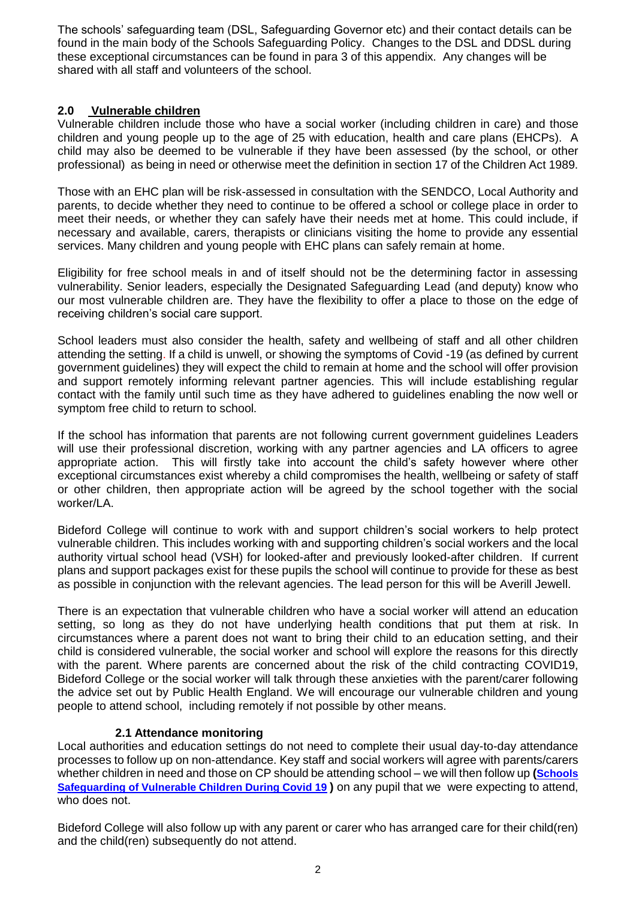The schools' safeguarding team (DSL, Safeguarding Governor etc) and their contact details can be found in the main body of the Schools Safeguarding Policy. Changes to the DSL and DDSL during these exceptional circumstances can be found in para 3 of this appendix. Any changes will be shared with all staff and volunteers of the school.

# **2.0 Vulnerable children**

Vulnerable children include those who have a social worker (including children in care) and those children and young people up to the age of 25 with education, health and care plans (EHCPs). A child may also be deemed to be vulnerable if they have been assessed (by the school, or other professional) as being in need or otherwise meet the definition in section 17 of the Children Act 1989.

Those with an EHC plan will be risk-assessed in consultation with the SENDCO, Local Authority and parents, to decide whether they need to continue to be offered a school or college place in order to meet their needs, or whether they can safely have their needs met at home. This could include, if necessary and available, carers, therapists or clinicians visiting the home to provide any essential services. Many children and young people with EHC plans can safely remain at home.

Eligibility for free school meals in and of itself should not be the determining factor in assessing vulnerability. Senior leaders, especially the Designated Safeguarding Lead (and deputy) know who our most vulnerable children are. They have the flexibility to offer a place to those on the edge of receiving children's social care support.

School leaders must also consider the health, safety and wellbeing of staff and all other children attending the setting. If a child is unwell, or showing the symptoms of Covid -19 (as defined by current government guidelines) they will expect the child to remain at home and the school will offer provision and support remotely informing relevant partner agencies. This will include establishing regular contact with the family until such time as they have adhered to guidelines enabling the now well or symptom free child to return to school.

If the school has information that parents are not following current government guidelines Leaders will use their professional discretion, working with any partner agencies and LA officers to agree appropriate action. This will firstly take into account the child's safety however where other exceptional circumstances exist whereby a child compromises the health, wellbeing or safety of staff or other children, then appropriate action will be agreed by the school together with the social worker/LA.

Bideford College will continue to work with and support children's social workers to help protect vulnerable children. This includes working with and supporting children's social workers and the local authority virtual school head (VSH) for looked-after and previously looked-after children. If current plans and support packages exist for these pupils the school will continue to provide for these as best as possible in conjunction with the relevant agencies. The lead person for this will be Averill Jewell.

There is an expectation that vulnerable children who have a social worker will attend an education setting, so long as they do not have underlying health conditions that put them at risk. In circumstances where a parent does not want to bring their child to an education setting, and their child is considered vulnerable, the social worker and school will explore the reasons for this directly with the parent. Where parents are concerned about the risk of the child contracting COVID19, Bideford College or the social worker will talk through these anxieties with the parent/carer following the advice set out by Public Health England. We will encourage our vulnerable children and young people to attend school, including remotely if not possible by other means.

# **2.1 Attendance monitoring**

Local authorities and education settings do not need to complete their usual day-to-day attendance processes to follow up on non-attendance. Key staff and social workers will agree with parents/carers whether children in need and those on CP should be attending school – we will then follow up **([Schools](file:///C:/Users/ajewell/AppData/Local/Microsoft/Windows/INetCache/Content.Outlook/SHPYW65C/(https:/www.devon.gov.uk/schools/my-account/information-for-schools/))  Safeguarding [of Vulnerable Children During Covid 19](file:///C:/Users/ajewell/AppData/Local/Microsoft/Windows/INetCache/Content.Outlook/SHPYW65C/(https:/www.devon.gov.uk/schools/my-account/information-for-schools/)) )** on any pupil that we were expecting to attend, who does not.

Bideford College will also follow up with any parent or carer who has arranged care for their child(ren) and the child(ren) subsequently do not attend.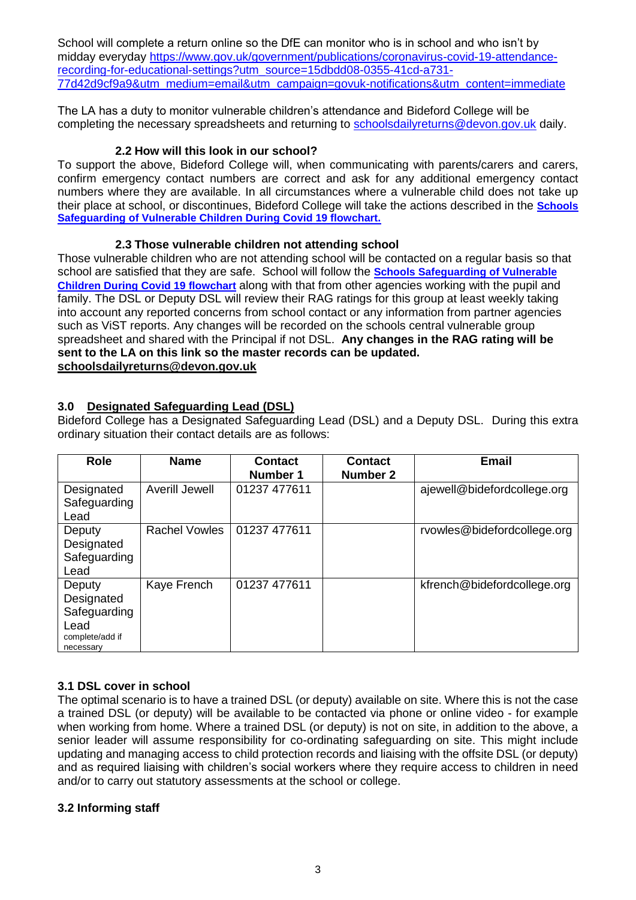School will complete a return online so the DfE can monitor who is in school and who isn't by midday everyday [https://www.gov.uk/government/publications/coronavirus-covid-19-attendance](https://www.gov.uk/government/publications/coronavirus-covid-19-attendance-recording-for-educational-settings?utm_source=15dbdd08-0355-41cd-a731-77d42d9cf9a9&utm_medium=email&utm_campaign=govuk-notifications&utm_content=immediate)[recording-for-educational-settings?utm\\_source=15dbdd08-0355-41cd-a731-](https://www.gov.uk/government/publications/coronavirus-covid-19-attendance-recording-for-educational-settings?utm_source=15dbdd08-0355-41cd-a731-77d42d9cf9a9&utm_medium=email&utm_campaign=govuk-notifications&utm_content=immediate) [77d42d9cf9a9&utm\\_medium=email&utm\\_campaign=govuk-notifications&utm\\_content=immediate](https://www.gov.uk/government/publications/coronavirus-covid-19-attendance-recording-for-educational-settings?utm_source=15dbdd08-0355-41cd-a731-77d42d9cf9a9&utm_medium=email&utm_campaign=govuk-notifications&utm_content=immediate)

The LA has a duty to monitor vulnerable children's attendance and Bideford College will be completing the necessary spreadsheets and returning to [schoolsdailyreturns@devon.gov.uk](mailto:schoolsdailyreturns@devon.gov.uk) daily.

### **2.2 How will this look in our school?**

To support the above, Bideford College will, when communicating with parents/carers and carers, confirm emergency contact numbers are correct and ask for any additional emergency contact numbers where they are available. In all circumstances where a vulnerable child does not take up their place at school, or discontinues, Bideford College will take the actions described in the **[Schools](file:///C:/Users/ajewell/AppData/Local/Microsoft/Windows/INetCache/Content.Outlook/SHPYW65C/(https:/www.devon.gov.uk/schools/my-account/information-for-schools/))  Safeguarding [of Vulnerable Children During Covid 19 flowchart.](file:///C:/Users/ajewell/AppData/Local/Microsoft/Windows/INetCache/Content.Outlook/SHPYW65C/(https:/www.devon.gov.uk/schools/my-account/information-for-schools/))**

### **2.3 Those vulnerable children not attending school**

Those vulnerable children who are not attending school will be contacted on a regular basis so that school are satisfied that they are safe. School will follow the **[Schools Safeguarding](file://///ds2chx003.ds2.devon.gov.uk/user$/Dawn.Stabb/Desktop/temp/(https:/www.devon.gov.uk/schools/my-account/information-for-schools/)) of Vulnerable [Children During Covid 19 flowchart](file://///ds2chx003.ds2.devon.gov.uk/user$/Dawn.Stabb/Desktop/temp/(https:/www.devon.gov.uk/schools/my-account/information-for-schools/))** along with that from other agencies working with the pupil and family. The DSL or Deputy DSL will review their RAG ratings for this group at least weekly taking into account any reported concerns from school contact or any information from partner agencies such as ViST reports. Any changes will be recorded on the schools central vulnerable group spreadsheet and shared with the Principal if not DSL. **Any changes in the RAG rating will be sent to the LA on this link so the master records can be updated. [schoolsdailyreturns@devon.gov.uk](mailto:schoolsdailyreturns@devon.gov.uk)**

### **3.0 Designated Safeguarding Lead (DSL)**

Bideford College has a Designated Safeguarding Lead (DSL) and a Deputy DSL. During this extra ordinary situation their contact details are as follows:

| <b>Role</b>                                                                  | <b>Name</b>          | <b>Contact</b><br>Number 1 | <b>Contact</b><br><b>Number 2</b> | <b>Email</b>                |
|------------------------------------------------------------------------------|----------------------|----------------------------|-----------------------------------|-----------------------------|
| Designated<br>Safeguarding<br>Lead                                           | Averill Jewell       | 01237 477611               |                                   | ajewell@bidefordcollege.org |
| Deputy<br>Designated<br>Safeguarding<br>Lead                                 | <b>Rachel Vowles</b> | 01237 477611               |                                   | rvowles@bidefordcollege.org |
| Deputy<br>Designated<br>Safeguarding<br>Lead<br>complete/add if<br>necessary | Kaye French          | 01237 477611               |                                   | kfrench@bidefordcollege.org |

# **3.1 DSL cover in school**

The optimal scenario is to have a trained DSL (or deputy) available on site. Where this is not the case a trained DSL (or deputy) will be available to be contacted via phone or online video - for example when working from home. Where a trained DSL (or deputy) is not on site, in addition to the above, a senior leader will assume responsibility for co-ordinating safeguarding on site. This might include updating and managing access to child protection records and liaising with the offsite DSL (or deputy) and as required liaising with children's social workers where they require access to children in need and/or to carry out statutory assessments at the school or college.

### **3.2 Informing staff**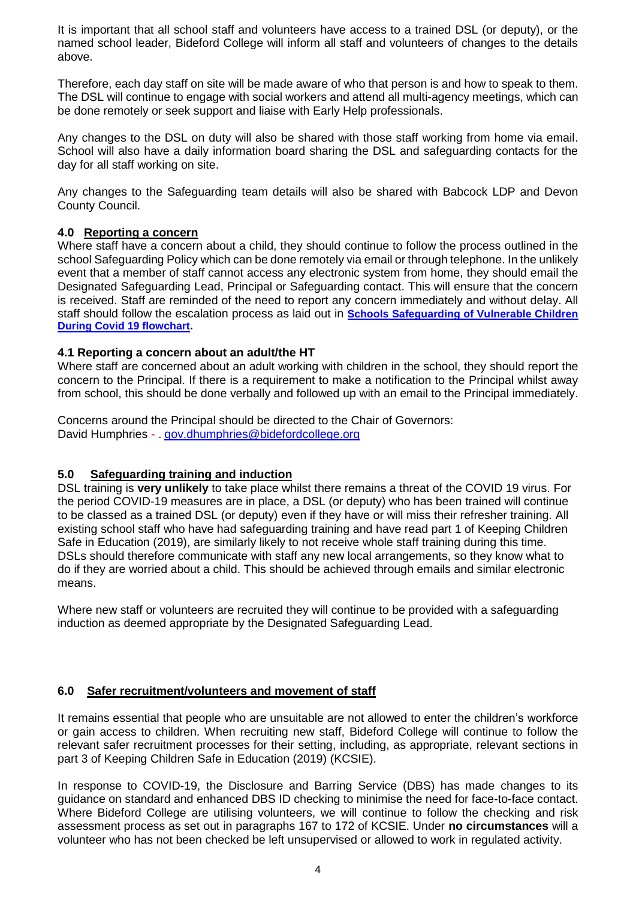It is important that all school staff and volunteers have access to a trained DSL (or deputy), or the named school leader, Bideford College will inform all staff and volunteers of changes to the details above.

Therefore, each day staff on site will be made aware of who that person is and how to speak to them. The DSL will continue to engage with social workers and attend all multi-agency meetings, which can be done remotely or seek support and liaise with Early Help professionals.

Any changes to the DSL on duty will also be shared with those staff working from home via email. School will also have a daily information board sharing the DSL and safeguarding contacts for the day for all staff working on site.

Any changes to the Safeguarding team details will also be shared with Babcock LDP and Devon County Council.

### **4.0 Reporting a concern**

Where staff have a concern about a child, they should continue to follow the process outlined in the school Safeguarding Policy which can be done remotely via email or through telephone. In the unlikely event that a member of staff cannot access any electronic system from home, they should email the Designated Safeguarding Lead, Principal or Safeguarding contact. This will ensure that the concern is received. Staff are reminded of the need to report any concern immediately and without delay. All staff should follow the escalation process as laid out in **Schools Safeguarding [of Vulnerable Children](file://///ds2chx003.ds2.devon.gov.uk/user$/Dawn.Stabb/Desktop/temp/(https:/www.devon.gov.uk/schools/my-account/information-for-schools/))  [During Covid 19 flowchart.](file://///ds2chx003.ds2.devon.gov.uk/user$/Dawn.Stabb/Desktop/temp/(https:/www.devon.gov.uk/schools/my-account/information-for-schools/))**

### **4.1 Reporting a concern about an adult/the HT**

Where staff are concerned about an adult working with children in the school, they should report the concern to the Principal. If there is a requirement to make a notification to the Principal whilst away from school, this should be done verbally and followed up with an email to the Principal immediately.

Concerns around the Principal should be directed to the Chair of Governors: David Humphries - . [gov.dhumphries@bidefordcollege.org](mailto:gov.dhumphries@bidefordcollege.org)

### **5.0 Safeguarding training and induction**

DSL training is **very unlikely** to take place whilst there remains a threat of the COVID 19 virus. For the period COVID-19 measures are in place, a DSL (or deputy) who has been trained will continue to be classed as a trained DSL (or deputy) even if they have or will miss their refresher training. All existing school staff who have had safeguarding training and have read part 1 of Keeping Children Safe in Education (2019), are similarly likely to not receive whole staff training during this time. DSLs should therefore communicate with staff any new local arrangements, so they know what to do if they are worried about a child. This should be achieved through emails and similar electronic means.

Where new staff or volunteers are recruited they will continue to be provided with a safeguarding induction as deemed appropriate by the Designated Safeguarding Lead.

### **6.0 Safer recruitment/volunteers and movement of staff**

It remains essential that people who are unsuitable are not allowed to enter the children's workforce or gain access to children. When recruiting new staff, Bideford College will continue to follow the relevant safer recruitment processes for their setting, including, as appropriate, relevant sections in part 3 of Keeping Children Safe in Education (2019) (KCSIE).

In response to COVID-19, the Disclosure and Barring Service (DBS) has made changes to its guidance on standard and enhanced DBS ID checking to minimise the need for face-to-face contact. Where Bideford College are utilising volunteers, we will continue to follow the checking and risk assessment process as set out in paragraphs 167 to 172 of KCSIE. Under **no circumstances** will a volunteer who has not been checked be left unsupervised or allowed to work in regulated activity.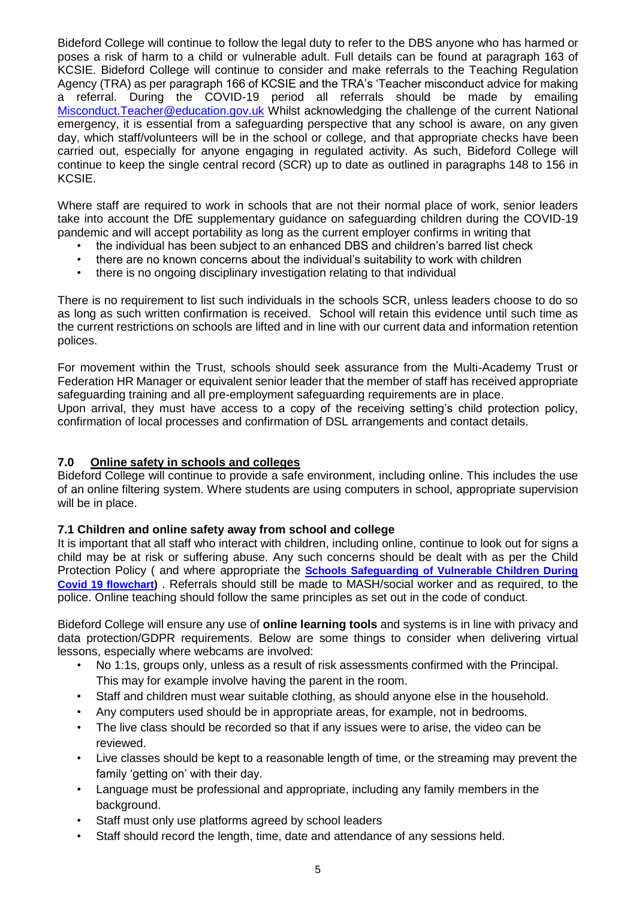Bideford College will continue to follow the legal duty to refer to the DBS anyone who has harmed or poses a risk of harm to a child or vulnerable adult. Full details can be found at paragraph 163 of KCSIE. Bideford College will continue to consider and make referrals to the Teaching Regulation Agency (TRA) as per paragraph 166 of KCSIE and the TRA's 'Teacher misconduct advice for making a referral. During the COVID-19 period all referrals should be made by emailing [Misconduct.Teacher@education.gov.uk](mailto:Misconduct.Teacher@education.gov.uk) Whilst acknowledging the challenge of the current National emergency, it is essential from a safeguarding perspective that any school is aware, on any given day, which staff/volunteers will be in the school or college, and that appropriate checks have been carried out, especially for anyone engaging in regulated activity. As such, Bideford College will continue to keep the single central record (SCR) up to date as outlined in paragraphs 148 to 156 in KCSIE.

Where staff are required to work in schools that are not their normal place of work, senior leaders take into account the DfE supplementary guidance on safeguarding children during the COVID-19 pandemic and will accept portability as long as the current employer confirms in writing that

- the individual has been subject to an enhanced DBS and children's barred list check
- there are no known concerns about the individual's suitability to work with children
- there is no ongoing disciplinary investigation relating to that individual

There is no requirement to list such individuals in the schools SCR, unless leaders choose to do so as long as such written confirmation is received. School will retain this evidence until such time as the current restrictions on schools are lifted and in line with our current data and information retention polices.

For movement within the Trust, schools should seek assurance from the Multi-Academy Trust or Federation HR Manager or equivalent senior leader that the member of staff has received appropriate safeguarding training and all pre-employment safeguarding requirements are in place. Upon arrival, they must have access to a copy of the receiving setting's child protection policy,

confirmation of local processes and confirmation of DSL arrangements and contact details.

### **7.0 Online safety in schools and colleges**

Bideford College will continue to provide a safe environment, including online. This includes the use of an online filtering system. Where students are using computers in school, appropriate supervision will be in place.

### **7.1 Children and online safety away from school and college**

It is important that all staff who interact with children, including online, continue to look out for signs a child may be at risk or suffering abuse. Any such concerns should be dealt with as per the Child Protection Policy ( and where appropriate the **Schools Safeguarding [of Vulnerable Children During](file://///ds2chx003.ds2.devon.gov.uk/user$/Dawn.Stabb/Desktop/temp/(https:/www.devon.gov.uk/schools/my-account/information-for-schools/))  [Covid 19 flowchart\)](file://///ds2chx003.ds2.devon.gov.uk/user$/Dawn.Stabb/Desktop/temp/(https:/www.devon.gov.uk/schools/my-account/information-for-schools/))** . Referrals should still be made to MASH/social worker and as required, to the police. Online teaching should follow the same principles as set out in the code of conduct.

Bideford College will ensure any use of **online learning tools** and systems is in line with privacy and data protection/GDPR requirements. Below are some things to consider when delivering virtual lessons, especially where webcams are involved:

- No 1:1s, groups only, unless as a result of risk assessments confirmed with the Principal. This may for example involve having the parent in the room.
- Staff and children must wear suitable clothing, as should anyone else in the household.
- Any computers used should be in appropriate areas, for example, not in bedrooms.
- The live class should be recorded so that if any issues were to arise, the video can be reviewed.
- Live classes should be kept to a reasonable length of time, or the streaming may prevent the family 'getting on' with their day.
- Language must be professional and appropriate, including any family members in the background.
- Staff must only use platforms agreed by school leaders
- Staff should record the length, time, date and attendance of any sessions held.